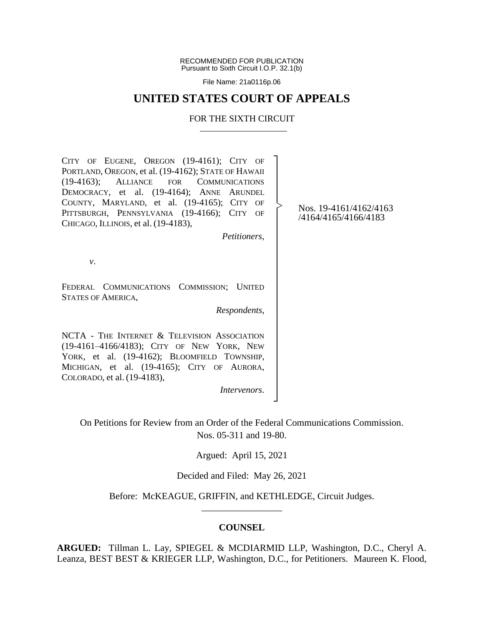RECOMMENDED FOR PUBLICATION Pursuant to Sixth Circuit I.O.P. 32.1(b)

File Name: 21a0116p.06

# **UNITED STATES COURT OF APPEALS**

# FOR THE SIXTH CIRCUIT

CITY OF EUGENE, OREGON (19-4161); CITY OF PORTLAND, OREGON, et al. (19-4162); STATE OF HAWAII (19-4163); ALLIANCE FOR COMMUNICATIONS DEMOCRACY, et al. (19-4164); ANNE ARUNDEL COUNTY, MARYLAND, et al. (19-4165); CITY OF PITTSBURGH, PENNSYLVANIA (19-4166); CITY OF CHICAGO, ILLINOIS, et al. (19-4183), ┐ │ │ │ │ │ │

*Petitioners*,

│ │ │ │ │ │ │ │ │ │ │ │ │ │ │ │ ┘

|<br>|<br>|

*v*.

FEDERAL COMMUNICATIONS COMMISSION; UNITED STATES OF AMERICA,

*Respondents*,

NCTA - THE INTERNET & TELEVISION ASSOCIATION (19-4161–4166/4183); CITY OF NEW YORK, NEW YORK, et al. (19-4162); BLOOMFIELD TOWNSHIP, MICHIGAN, et al. (19-4165); CITY OF AURORA, COLORADO, et al. (19-4183),

*Intervenors*.

On Petitions for Review from an Order of the Federal Communications Commission. Nos. 05-311 and 19-80.

Argued: April 15, 2021

Decided and Filed: May 26, 2021

Before: McKEAGUE, GRIFFIN, and KETHLEDGE, Circuit Judges. \_\_\_\_\_\_\_\_\_\_\_\_\_\_\_\_\_

# **COUNSEL**

**ARGUED:** Tillman L. Lay, SPIEGEL & MCDIARMID LLP, Washington, D.C., Cheryl A. Leanza, BEST BEST & KRIEGER LLP, Washington, D.C., for Petitioners. Maureen K. Flood,

Nos. 19-4161/4162/4163 /4164/4165/4166/4183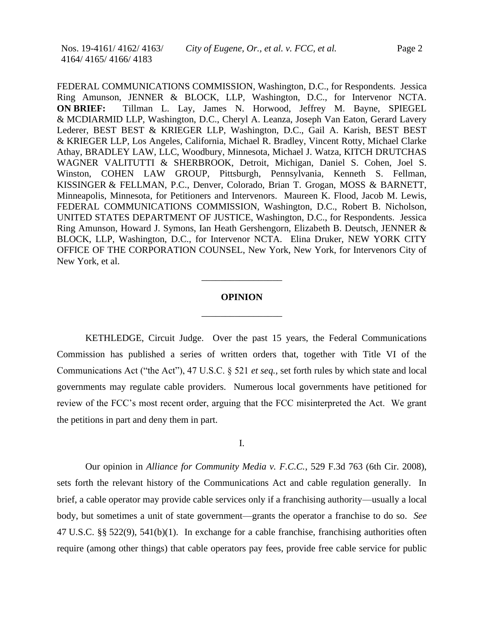FEDERAL COMMUNICATIONS COMMISSION, Washington, D.C., for Respondents. Jessica Ring Amunson, JENNER & BLOCK, LLP, Washington, D.C., for Intervenor NCTA. **ON BRIEF:** Tillman L. Lay, James N. Horwood, Jeffrey M. Bayne, SPIEGEL & MCDIARMID LLP, Washington, D.C., Cheryl A. Leanza, Joseph Van Eaton, Gerard Lavery Lederer, BEST BEST & KRIEGER LLP, Washington, D.C., Gail A. Karish, BEST BEST & KRIEGER LLP, Los Angeles, California, Michael R. Bradley, Vincent Rotty, Michael Clarke Athay, BRADLEY LAW, LLC, Woodbury, Minnesota, Michael J. Watza, KITCH DRUTCHAS WAGNER VALITUTTI & SHERBROOK, Detroit, Michigan, Daniel S. Cohen, Joel S. Winston, COHEN LAW GROUP, Pittsburgh, Pennsylvania, Kenneth S. Fellman, KISSINGER & FELLMAN, P.C., Denver, Colorado, Brian T. Grogan, MOSS & BARNETT, Minneapolis, Minnesota, for Petitioners and Intervenors. Maureen K. Flood, Jacob M. Lewis, FEDERAL COMMUNICATIONS COMMISSION, Washington, D.C., Robert B. Nicholson, UNITED STATES DEPARTMENT OF JUSTICE, Washington, D.C., for Respondents. Jessica Ring Amunson, Howard J. Symons, Ian Heath Gershengorn, Elizabeth B. Deutsch, JENNER & BLOCK, LLP, Washington, D.C., for Intervenor NCTA. Elina Druker, NEW YORK CITY OFFICE OF THE CORPORATION COUNSEL, New York, New York, for Intervenors City of New York, et al.

# **OPINION**

\_\_\_\_\_\_\_\_\_\_\_\_\_\_\_\_\_

\_\_\_\_\_\_\_\_\_\_\_\_\_\_\_\_\_

KETHLEDGE, Circuit Judge. Over the past 15 years, the Federal Communications Commission has published a series of written orders that, together with Title VI of the Communications Act ("the Act"), 47 U.S.C. § 521 *et seq.*, set forth rules by which state and local governments may regulate cable providers. Numerous local governments have petitioned for review of the FCC's most recent order, arguing that the FCC misinterpreted the Act. We grant the petitions in part and deny them in part.

I.

Our opinion in *Alliance for Community Media v. F.C.C.*, 529 F.3d 763 (6th Cir. 2008), sets forth the relevant history of the Communications Act and cable regulation generally. In brief, a cable operator may provide cable services only if a franchising authority—usually a local body, but sometimes a unit of state government—grants the operator a franchise to do so. *See*  47 U.S.C. §§ 522(9), 541(b)(1). In exchange for a cable franchise, franchising authorities often require (among other things) that cable operators pay fees, provide free cable service for public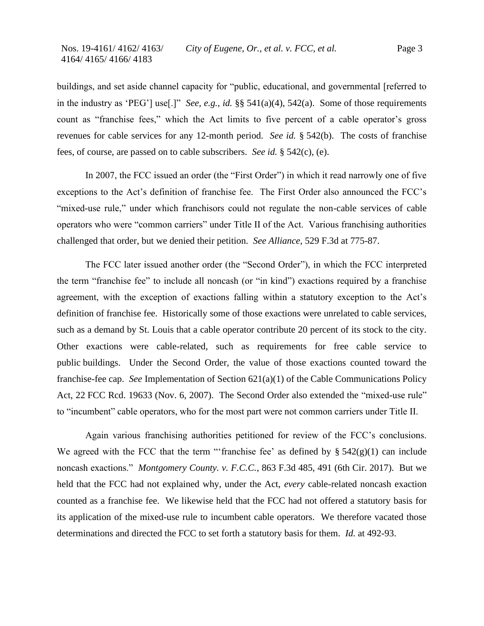buildings, and set aside channel capacity for "public, educational, and governmental [referred to in the industry as 'PEG'] use[.]" *See, e.g.*, *id.* §§ 541(a)(4), 542(a). Some of those requirements count as "franchise fees," which the Act limits to five percent of a cable operator's gross revenues for cable services for any 12-month period. *See id.* § 542(b). The costs of franchise fees, of course, are passed on to cable subscribers. *See id.* § 542(c), (e).

In 2007, the FCC issued an order (the "First Order") in which it read narrowly one of five exceptions to the Act's definition of franchise fee. The First Order also announced the FCC's "mixed-use rule," under which franchisors could not regulate the non-cable services of cable operators who were "common carriers" under Title II of the Act. Various franchising authorities challenged that order, but we denied their petition. *See Alliance*, 529 F.3d at 775-87.

The FCC later issued another order (the "Second Order"), in which the FCC interpreted the term "franchise fee" to include all noncash (or "in kind") exactions required by a franchise agreement, with the exception of exactions falling within a statutory exception to the Act's definition of franchise fee. Historically some of those exactions were unrelated to cable services, such as a demand by St. Louis that a cable operator contribute 20 percent of its stock to the city. Other exactions were cable-related, such as requirements for free cable service to public buildings. Under the Second Order, the value of those exactions counted toward the franchise-fee cap. *See* Implementation of Section 621(a)(1) of the Cable Communications Policy Act, 22 FCC Rcd. 19633 (Nov. 6, 2007). The Second Order also extended the "mixed-use rule" to "incumbent" cable operators, who for the most part were not common carriers under Title II.

Again various franchising authorities petitioned for review of the FCC's conclusions. We agreed with the FCC that the term "'franchise fee' as defined by  $\S 542(g)(1)$  can include noncash exactions." *Montgomery County. v. F.C.C.*, 863 F.3d 485, 491 (6th Cir. 2017). But we held that the FCC had not explained why, under the Act, *every* cable-related noncash exaction counted as a franchise fee. We likewise held that the FCC had not offered a statutory basis for its application of the mixed-use rule to incumbent cable operators. We therefore vacated those determinations and directed the FCC to set forth a statutory basis for them. *Id.* at 492-93.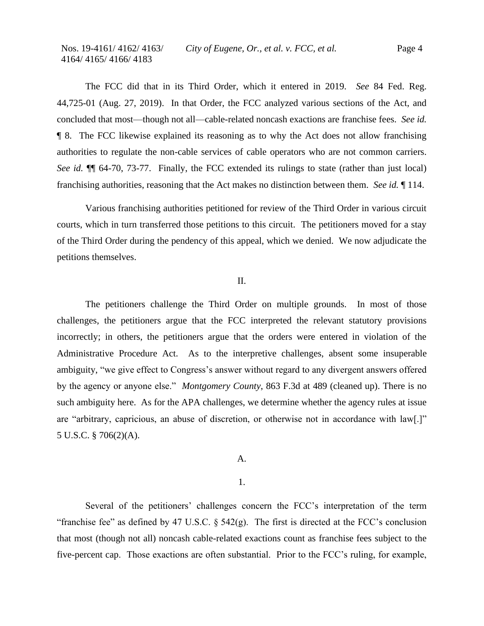The FCC did that in its Third Order, which it entered in 2019. *See* 84 Fed. Reg. 44,725-01 (Aug. 27, 2019). In that Order, the FCC analyzed various sections of the Act, and concluded that most—though not all—cable-related noncash exactions are franchise fees. *See id.* ¶ 8. The FCC likewise explained its reasoning as to why the Act does not allow franchising authorities to regulate the non-cable services of cable operators who are not common carriers. *See id.* ¶¶ 64-70, 73-77. Finally, the FCC extended its rulings to state (rather than just local) franchising authorities, reasoning that the Act makes no distinction between them. *See id.* ¶ 114.

Various franchising authorities petitioned for review of the Third Order in various circuit courts, which in turn transferred those petitions to this circuit. The petitioners moved for a stay of the Third Order during the pendency of this appeal, which we denied. We now adjudicate the petitions themselves.

### II.

The petitioners challenge the Third Order on multiple grounds. In most of those challenges, the petitioners argue that the FCC interpreted the relevant statutory provisions incorrectly; in others, the petitioners argue that the orders were entered in violation of the Administrative Procedure Act. As to the interpretive challenges, absent some insuperable ambiguity, "we give effect to Congress's answer without regard to any divergent answers offered by the agency or anyone else." *Montgomery County*, 863 F.3d at 489 (cleaned up). There is no such ambiguity here. As for the APA challenges, we determine whether the agency rules at issue are "arbitrary, capricious, an abuse of discretion, or otherwise not in accordance with law[.]" 5 U.S.C. § 706(2)(A).

## A.

# 1.

Several of the petitioners' challenges concern the FCC's interpretation of the term "franchise fee" as defined by 47 U.S.C.  $\S$  542(g). The first is directed at the FCC's conclusion that most (though not all) noncash cable-related exactions count as franchise fees subject to the five-percent cap. Those exactions are often substantial. Prior to the FCC's ruling, for example,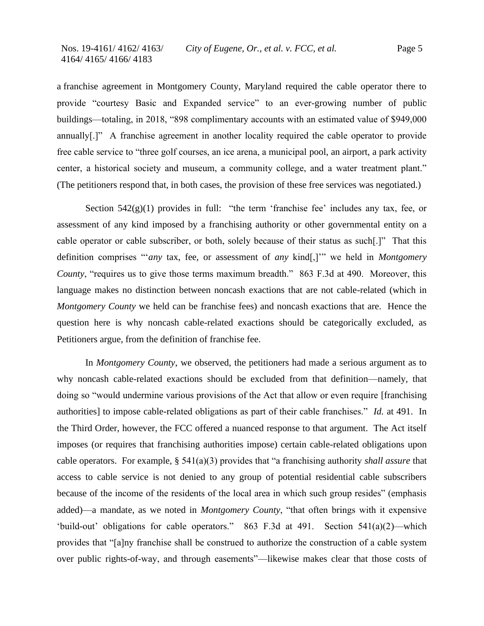a franchise agreement in Montgomery County, Maryland required the cable operator there to provide "courtesy Basic and Expanded service" to an ever-growing number of public buildings—totaling, in 2018, "898 complimentary accounts with an estimated value of \$949,000 annually[.]" A franchise agreement in another locality required the cable operator to provide free cable service to "three golf courses, an ice arena, a municipal pool, an airport, a park activity center, a historical society and museum, a community college, and a water treatment plant." (The petitioners respond that, in both cases, the provision of these free services was negotiated.)

Section  $542(g)(1)$  provides in full: "the term 'franchise fee' includes any tax, fee, or assessment of any kind imposed by a franchising authority or other governmental entity on a cable operator or cable subscriber, or both, solely because of their status as such[.]" That this definition comprises "'*any* tax, fee, or assessment of *any* kind[,]'" we held in *Montgomery County*, "requires us to give those terms maximum breadth." 863 F.3d at 490. Moreover, this language makes no distinction between noncash exactions that are not cable-related (which in *Montgomery County* we held can be franchise fees) and noncash exactions that are. Hence the question here is why noncash cable-related exactions should be categorically excluded, as Petitioners argue, from the definition of franchise fee.

In *Montgomery County*, we observed, the petitioners had made a serious argument as to why noncash cable-related exactions should be excluded from that definition—namely, that doing so "would undermine various provisions of the Act that allow or even require [franchising authorities] to impose cable-related obligations as part of their cable franchises." *Id.* at 491. In the Third Order, however, the FCC offered a nuanced response to that argument. The Act itself imposes (or requires that franchising authorities impose) certain cable-related obligations upon cable operators. For example, § 541(a)(3) provides that "a franchising authority *shall assure* that access to cable service is not denied to any group of potential residential cable subscribers because of the income of the residents of the local area in which such group resides" (emphasis added)—a mandate, as we noted in *Montgomery County*, "that often brings with it expensive 'build-out' obligations for cable operators." 863 F.3d at 491. Section 541(a)(2)—which provides that "[a]ny franchise shall be construed to authorize the construction of a cable system over public rights-of-way, and through easements"—likewise makes clear that those costs of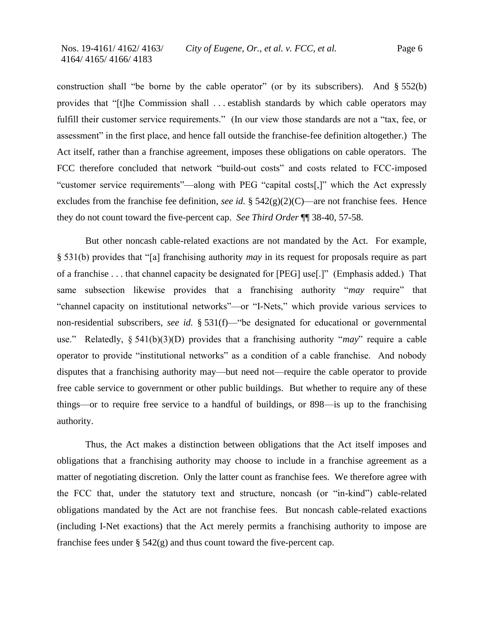construction shall "be borne by the cable operator" (or by its subscribers). And § 552(b) provides that "[t]he Commission shall . . . establish standards by which cable operators may fulfill their customer service requirements." (In our view those standards are not a "tax, fee, or assessment" in the first place, and hence fall outside the franchise-fee definition altogether.) The Act itself, rather than a franchise agreement, imposes these obligations on cable operators. The FCC therefore concluded that network "build-out costs" and costs related to FCC-imposed "customer service requirements"—along with PEG "capital costs[,]" which the Act expressly excludes from the franchise fee definition, *see id.* § 542(g)(2)(C)—are not franchise fees. Hence they do not count toward the five-percent cap. *See Third Order* ¶¶ 38-40, 57-58.

But other noncash cable-related exactions are not mandated by the Act. For example, § 531(b) provides that "[a] franchising authority *may* in its request for proposals require as part of a franchise . . . that channel capacity be designated for [PEG] use[.]" (Emphasis added.) That same subsection likewise provides that a franchising authority "*may* require" that "channel capacity on institutional networks"—or "I-Nets," which provide various services to non-residential subscribers, *see id.* § 531(f)—"be designated for educational or governmental use." Relatedly, § 541(b)(3)(D) provides that a franchising authority "*may*" require a cable operator to provide "institutional networks" as a condition of a cable franchise. And nobody disputes that a franchising authority may—but need not—require the cable operator to provide free cable service to government or other public buildings. But whether to require any of these things—or to require free service to a handful of buildings, or 898—is up to the franchising authority.

Thus, the Act makes a distinction between obligations that the Act itself imposes and obligations that a franchising authority may choose to include in a franchise agreement as a matter of negotiating discretion. Only the latter count as franchise fees. We therefore agree with the FCC that, under the statutory text and structure, noncash (or "in-kind") cable-related obligations mandated by the Act are not franchise fees. But noncash cable-related exactions (including I-Net exactions) that the Act merely permits a franchising authority to impose are franchise fees under  $\S 542(g)$  and thus count toward the five-percent cap.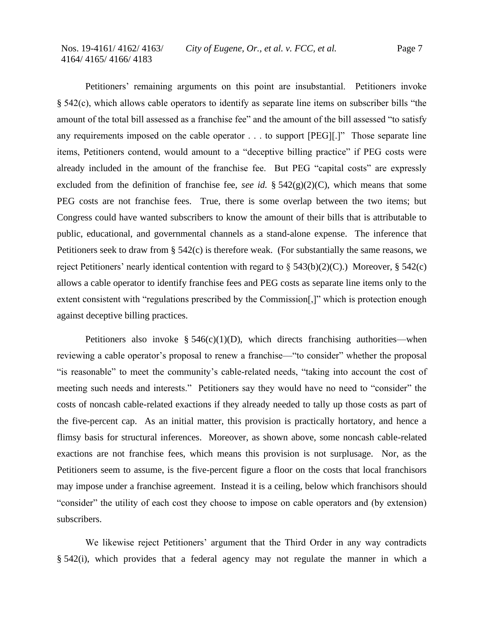Petitioners' remaining arguments on this point are insubstantial. Petitioners invoke § 542(c), which allows cable operators to identify as separate line items on subscriber bills "the amount of the total bill assessed as a franchise fee" and the amount of the bill assessed "to satisfy any requirements imposed on the cable operator . . . to support [PEG][.]" Those separate line items, Petitioners contend, would amount to a "deceptive billing practice" if PEG costs were already included in the amount of the franchise fee. But PEG "capital costs" are expressly excluded from the definition of franchise fee, *see id.* § 542(g)(2)(C), which means that some PEG costs are not franchise fees. True, there is some overlap between the two items; but Congress could have wanted subscribers to know the amount of their bills that is attributable to public, educational, and governmental channels as a stand-alone expense. The inference that Petitioners seek to draw from § 542(c) is therefore weak. (For substantially the same reasons, we reject Petitioners' nearly identical contention with regard to  $\S 543(b)(2)(C)$ .) Moreover,  $\S 542(c)$ allows a cable operator to identify franchise fees and PEG costs as separate line items only to the extent consistent with "regulations prescribed by the Commission[,]" which is protection enough against deceptive billing practices.

Petitioners also invoke  $\S 546(c)(1)(D)$ , which directs franchising authorities—when reviewing a cable operator's proposal to renew a franchise—"to consider" whether the proposal "is reasonable" to meet the community's cable-related needs, "taking into account the cost of meeting such needs and interests." Petitioners say they would have no need to "consider" the costs of noncash cable-related exactions if they already needed to tally up those costs as part of the five-percent cap. As an initial matter, this provision is practically hortatory, and hence a flimsy basis for structural inferences. Moreover, as shown above, some noncash cable-related exactions are not franchise fees, which means this provision is not surplusage. Nor, as the Petitioners seem to assume, is the five-percent figure a floor on the costs that local franchisors may impose under a franchise agreement. Instead it is a ceiling, below which franchisors should "consider" the utility of each cost they choose to impose on cable operators and (by extension) subscribers.

We likewise reject Petitioners' argument that the Third Order in any way contradicts § 542(i), which provides that a federal agency may not regulate the manner in which a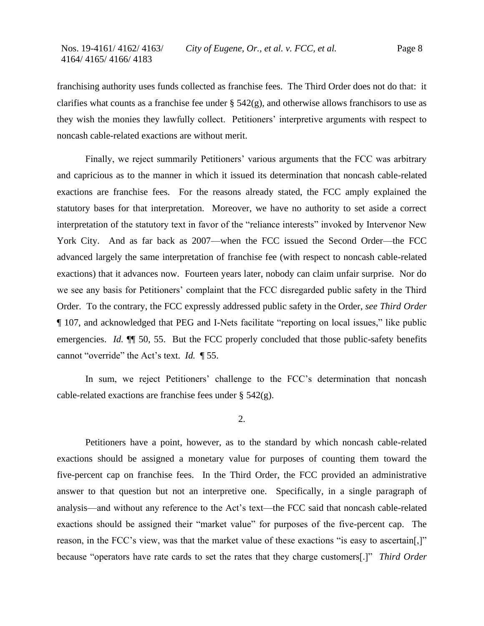franchising authority uses funds collected as franchise fees. The Third Order does not do that: it clarifies what counts as a franchise fee under  $\S 542(g)$ , and otherwise allows franchisors to use as they wish the monies they lawfully collect. Petitioners' interpretive arguments with respect to noncash cable-related exactions are without merit.

Finally, we reject summarily Petitioners' various arguments that the FCC was arbitrary and capricious as to the manner in which it issued its determination that noncash cable-related exactions are franchise fees. For the reasons already stated, the FCC amply explained the statutory bases for that interpretation. Moreover, we have no authority to set aside a correct interpretation of the statutory text in favor of the "reliance interests" invoked by Intervenor New York City. And as far back as 2007—when the FCC issued the Second Order—the FCC advanced largely the same interpretation of franchise fee (with respect to noncash cable-related exactions) that it advances now. Fourteen years later, nobody can claim unfair surprise. Nor do we see any basis for Petitioners' complaint that the FCC disregarded public safety in the Third Order. To the contrary, the FCC expressly addressed public safety in the Order, *see Third Order* ¶ 107, and acknowledged that PEG and I-Nets facilitate "reporting on local issues," like public emergencies. *Id.* **[1]** 50, 55. But the FCC properly concluded that those public-safety benefits cannot "override" the Act's text. *Id.* ¶ 55.

In sum, we reject Petitioners' challenge to the FCC's determination that noncash cable-related exactions are franchise fees under § 542(g).

2.

Petitioners have a point, however, as to the standard by which noncash cable-related exactions should be assigned a monetary value for purposes of counting them toward the five-percent cap on franchise fees. In the Third Order, the FCC provided an administrative answer to that question but not an interpretive one. Specifically, in a single paragraph of analysis—and without any reference to the Act's text—the FCC said that noncash cable-related exactions should be assigned their "market value" for purposes of the five-percent cap. The reason, in the FCC's view, was that the market value of these exactions "is easy to ascertain[,]" because "operators have rate cards to set the rates that they charge customers[.]" *Third Order*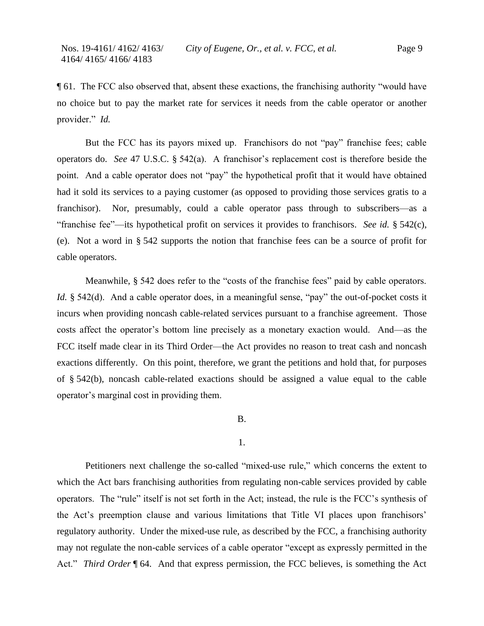¶ 61. The FCC also observed that, absent these exactions, the franchising authority "would have no choice but to pay the market rate for services it needs from the cable operator or another provider." *Id.*

But the FCC has its payors mixed up. Franchisors do not "pay" franchise fees; cable operators do. *See* 47 U.S.C. § 542(a). A franchisor's replacement cost is therefore beside the point. And a cable operator does not "pay" the hypothetical profit that it would have obtained had it sold its services to a paying customer (as opposed to providing those services gratis to a franchisor). Nor, presumably, could a cable operator pass through to subscribers—as a "franchise fee"—its hypothetical profit on services it provides to franchisors. *See id.* § 542(c), (e). Not a word in § 542 supports the notion that franchise fees can be a source of profit for cable operators.

Meanwhile, § 542 does refer to the "costs of the franchise fees" paid by cable operators. *Id.* § 542(d). And a cable operator does, in a meaningful sense, "pay" the out-of-pocket costs it incurs when providing noncash cable-related services pursuant to a franchise agreement. Those costs affect the operator's bottom line precisely as a monetary exaction would. And—as the FCC itself made clear in its Third Order—the Act provides no reason to treat cash and noncash exactions differently. On this point, therefore, we grant the petitions and hold that, for purposes of § 542(b), noncash cable-related exactions should be assigned a value equal to the cable operator's marginal cost in providing them.

# B.

# 1.

Petitioners next challenge the so-called "mixed-use rule," which concerns the extent to which the Act bars franchising authorities from regulating non-cable services provided by cable operators. The "rule" itself is not set forth in the Act; instead, the rule is the FCC's synthesis of the Act's preemption clause and various limitations that Title VI places upon franchisors' regulatory authority. Under the mixed-use rule, as described by the FCC, a franchising authority may not regulate the non-cable services of a cable operator "except as expressly permitted in the Act." *Third Order* ¶ 64. And that express permission, the FCC believes, is something the Act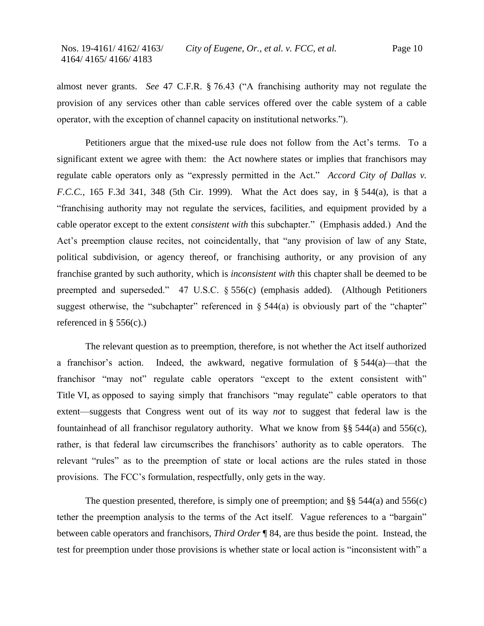almost never grants. *See* 47 C.F.R. § 76.43 ("A franchising authority may not regulate the provision of any services other than cable services offered over the cable system of a cable operator, with the exception of channel capacity on institutional networks.").

Petitioners argue that the mixed-use rule does not follow from the Act's terms. To a significant extent we agree with them: the Act nowhere states or implies that franchisors may regulate cable operators only as "expressly permitted in the Act." *Accord City of Dallas v. F.C.C.*, 165 F.3d 341, 348 (5th Cir. 1999). What the Act does say, in § 544(a), is that a "franchising authority may not regulate the services, facilities, and equipment provided by a cable operator except to the extent *consistent with* this subchapter." (Emphasis added.) And the Act's preemption clause recites, not coincidentally, that "any provision of law of any State, political subdivision, or agency thereof, or franchising authority, or any provision of any franchise granted by such authority, which is *inconsistent with* this chapter shall be deemed to be preempted and superseded." 47 U.S.C. § 556(c) (emphasis added). (Although Petitioners suggest otherwise, the "subchapter" referenced in  $\S$  544(a) is obviously part of the "chapter" referenced in §  $556(c)$ .

The relevant question as to preemption, therefore, is not whether the Act itself authorized a franchisor's action. Indeed, the awkward, negative formulation of § 544(a)—that the franchisor "may not" regulate cable operators "except to the extent consistent with" Title VI, as opposed to saying simply that franchisors "may regulate" cable operators to that extent—suggests that Congress went out of its way *not* to suggest that federal law is the fountainhead of all franchisor regulatory authority. What we know from §§ 544(a) and 556(c), rather, is that federal law circumscribes the franchisors' authority as to cable operators. The relevant "rules" as to the preemption of state or local actions are the rules stated in those provisions. The FCC's formulation, respectfully, only gets in the way.

The question presented, therefore, is simply one of preemption; and  $\S$ § 544(a) and 556(c) tether the preemption analysis to the terms of the Act itself. Vague references to a "bargain" between cable operators and franchisors, *Third Order* ¶ 84, are thus beside the point. Instead, the test for preemption under those provisions is whether state or local action is "inconsistent with" a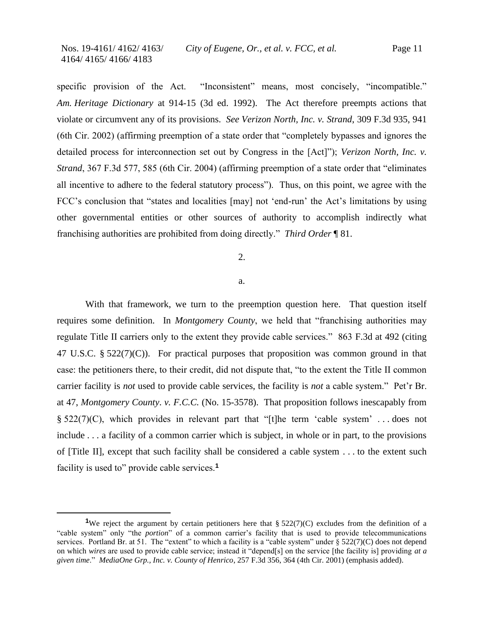specific provision of the Act. "Inconsistent" means, most concisely, "incompatible." *Am. Heritage Dictionary* at 914-15 (3d ed. 1992). The Act therefore preempts actions that violate or circumvent any of its provisions. *See Verizon North, Inc. v. Strand*, 309 F.3d 935, 941 (6th Cir. 2002) (affirming preemption of a state order that "completely bypasses and ignores the detailed process for interconnection set out by Congress in the [Act]"); *Verizon North, Inc. v. Strand*, 367 F.3d 577, 585 (6th Cir. 2004) (affirming preemption of a state order that "eliminates all incentive to adhere to the federal statutory process"). Thus, on this point, we agree with the FCC's conclusion that "states and localities [may] not 'end-run' the Act's limitations by using other governmental entities or other sources of authority to accomplish indirectly what franchising authorities are prohibited from doing directly." *Third Order* ¶ 81.

# 2.

### a.

With that framework, we turn to the preemption question here. That question itself requires some definition. In *Montgomery County*, we held that "franchising authorities may regulate Title II carriers only to the extent they provide cable services." 863 F.3d at 492 (citing 47 U.S.C. § 522(7)(C)). For practical purposes that proposition was common ground in that case: the petitioners there, to their credit, did not dispute that, "to the extent the Title II common carrier facility is *not* used to provide cable services, the facility is *not* a cable system." Pet'r Br. at 47, *Montgomery County*. *v. F.C.C.* (No. 15-3578). That proposition follows inescapably from  $\S$  522(7)(C), which provides in relevant part that "[t]he term 'cable system' ... does not include . . . a facility of a common carrier which is subject, in whole or in part, to the provisions of [Title II], except that such facility shall be considered a cable system . . . to the extent such facility is used to" provide cable services.**<sup>1</sup>**

<sup>&</sup>lt;sup>1</sup>We reject the argument by certain petitioners here that § 522(7)(C) excludes from the definition of a "cable system" only "the *portion*" of a common carrier's facility that is used to provide telecommunications services. Portland Br. at 51. The "extent" to which a facility is a "cable system" under § 522(7)(C) does not depend on which *wires* are used to provide cable service; instead it "depend[s] on the service [the facility is] providing *at a given time*." *MediaOne Grp., Inc. v. County of Henrico*, 257 F.3d 356, 364 (4th Cir. 2001) (emphasis added).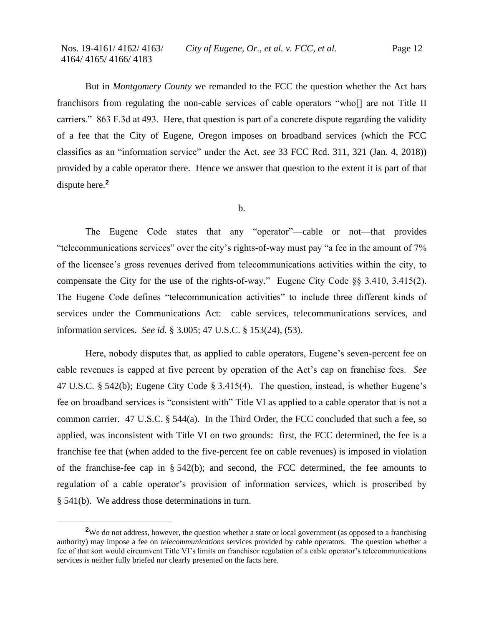But in *Montgomery County* we remanded to the FCC the question whether the Act bars franchisors from regulating the non-cable services of cable operators "who[] are not Title II carriers." 863 F.3d at 493. Here, that question is part of a concrete dispute regarding the validity of a fee that the City of Eugene, Oregon imposes on broadband services (which the FCC classifies as an "information service" under the Act, *see* 33 FCC Rcd. 311, 321 (Jan. 4, 2018)) provided by a cable operator there. Hence we answer that question to the extent it is part of that dispute here.**<sup>2</sup>**

b.

The Eugene Code states that any "operator"—cable or not—that provides "telecommunications services" over the city's rights-of-way must pay "a fee in the amount of 7% of the licensee's gross revenues derived from telecommunications activities within the city, to compensate the City for the use of the rights-of-way." Eugene City Code §§ 3.410, 3.415(2). The Eugene Code defines "telecommunication activities" to include three different kinds of services under the Communications Act: cable services, telecommunications services, and information services. *See id.* § 3.005; 47 U.S.C. § 153(24), (53).

Here, nobody disputes that, as applied to cable operators, Eugene's seven-percent fee on cable revenues is capped at five percent by operation of the Act's cap on franchise fees. *See*  47 U.S.C. § 542(b); Eugene City Code § 3.415(4). The question, instead, is whether Eugene's fee on broadband services is "consistent with" Title VI as applied to a cable operator that is not a common carrier. 47 U.S.C. § 544(a). In the Third Order, the FCC concluded that such a fee, so applied, was inconsistent with Title VI on two grounds: first, the FCC determined, the fee is a franchise fee that (when added to the five-percent fee on cable revenues) is imposed in violation of the franchise-fee cap in  $\S$  542(b); and second, the FCC determined, the fee amounts to regulation of a cable operator's provision of information services, which is proscribed by § 541(b). We address those determinations in turn.

<sup>&</sup>lt;sup>2</sup>We do not address, however, the question whether a state or local government (as opposed to a franchising authority) may impose a fee on *telecommunications* services provided by cable operators. The question whether a fee of that sort would circumvent Title VI's limits on franchisor regulation of a cable operator's telecommunications services is neither fully briefed nor clearly presented on the facts here.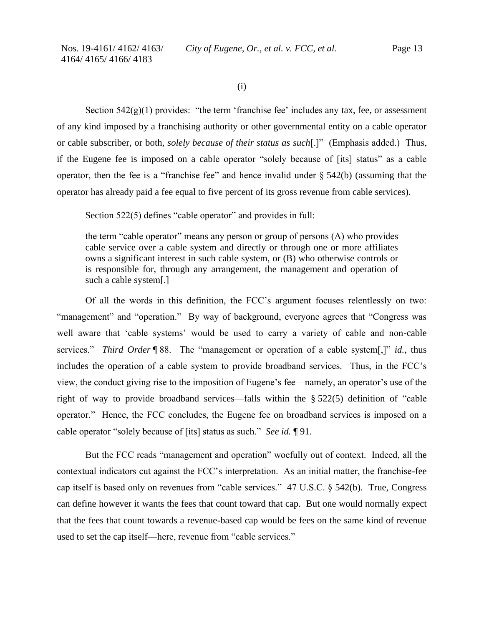(i)

Section  $542(g)(1)$  provides: "the term 'franchise fee' includes any tax, fee, or assessment of any kind imposed by a franchising authority or other governmental entity on a cable operator or cable subscriber, or both, *solely because of their status as such*[.]" (Emphasis added.) Thus, if the Eugene fee is imposed on a cable operator "solely because of [its] status" as a cable operator, then the fee is a "franchise fee" and hence invalid under  $\S$  542(b) (assuming that the operator has already paid a fee equal to five percent of its gross revenue from cable services).

Section 522(5) defines "cable operator" and provides in full:

the term "cable operator" means any person or group of persons (A) who provides cable service over a cable system and directly or through one or more affiliates owns a significant interest in such cable system, or (B) who otherwise controls or is responsible for, through any arrangement, the management and operation of such a cable system[.]

Of all the words in this definition, the FCC's argument focuses relentlessly on two: "management" and "operation." By way of background, everyone agrees that "Congress was well aware that 'cable systems' would be used to carry a variety of cable and non-cable services." *Third Order* ¶ 88. The "management or operation of a cable system[,]" *id.*, thus includes the operation of a cable system to provide broadband services. Thus, in the FCC's view, the conduct giving rise to the imposition of Eugene's fee—namely, an operator's use of the right of way to provide broadband services—falls within the § 522(5) definition of "cable operator." Hence, the FCC concludes, the Eugene fee on broadband services is imposed on a cable operator "solely because of [its] status as such." *See id.* ¶ 91.

But the FCC reads "management and operation" woefully out of context. Indeed, all the contextual indicators cut against the FCC's interpretation. As an initial matter, the franchise-fee cap itself is based only on revenues from "cable services." 47 U.S.C. § 542(b). True, Congress can define however it wants the fees that count toward that cap. But one would normally expect that the fees that count towards a revenue-based cap would be fees on the same kind of revenue used to set the cap itself—here, revenue from "cable services."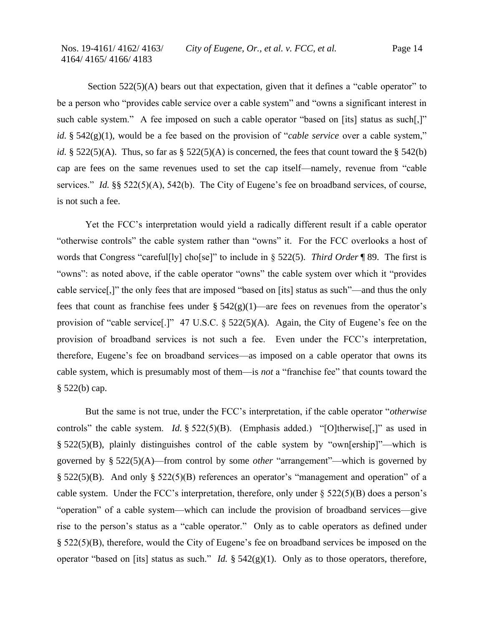Section 522(5)(A) bears out that expectation, given that it defines a "cable operator" to be a person who "provides cable service over a cable system" and "owns a significant interest in such cable system." A fee imposed on such a cable operator "based on [its] status as such[,]" *id.* § 542(g)(1), would be a fee based on the provision of "*cable service* over a cable system," *id.* § 522(5)(A). Thus, so far as § 522(5)(A) is concerned, the fees that count toward the § 542(b) cap are fees on the same revenues used to set the cap itself—namely, revenue from "cable services." *Id.* §§ 522(5)(A), 542(b). The City of Eugene's fee on broadband services, of course, is not such a fee.

Yet the FCC's interpretation would yield a radically different result if a cable operator "otherwise controls" the cable system rather than "owns" it. For the FCC overlooks a host of words that Congress "careful[ly] cho[se]" to include in § 522(5). *Third Order* ¶ 89. The first is "owns": as noted above, if the cable operator "owns" the cable system over which it "provides cable service[,]" the only fees that are imposed "based on [its] status as such"—and thus the only fees that count as franchise fees under  $\S 542(g)(1)$ —are fees on revenues from the operator's provision of "cable service[.]" 47 U.S.C. § 522(5)(A). Again, the City of Eugene's fee on the provision of broadband services is not such a fee. Even under the FCC's interpretation, therefore, Eugene's fee on broadband services—as imposed on a cable operator that owns its cable system, which is presumably most of them—is *not* a "franchise fee" that counts toward the § 522(b) cap.

But the same is not true, under the FCC's interpretation, if the cable operator "*otherwise*  controls" the cable system. *Id.* § 522(5)(B). (Emphasis added.) "[O]therwise[,]" as used in § 522(5)(B), plainly distinguishes control of the cable system by "own[ership]"—which is governed by § 522(5)(A)—from control by some *other* "arrangement"—which is governed by § 522(5)(B). And only § 522(5)(B) references an operator's "management and operation" of a cable system. Under the FCC's interpretation, therefore, only under  $\S$  522(5)(B) does a person's "operation" of a cable system—which can include the provision of broadband services—give rise to the person's status as a "cable operator." Only as to cable operators as defined under § 522(5)(B), therefore, would the City of Eugene's fee on broadband services be imposed on the operator "based on [its] status as such." *Id.* § 542(g)(1). Only as to those operators, therefore,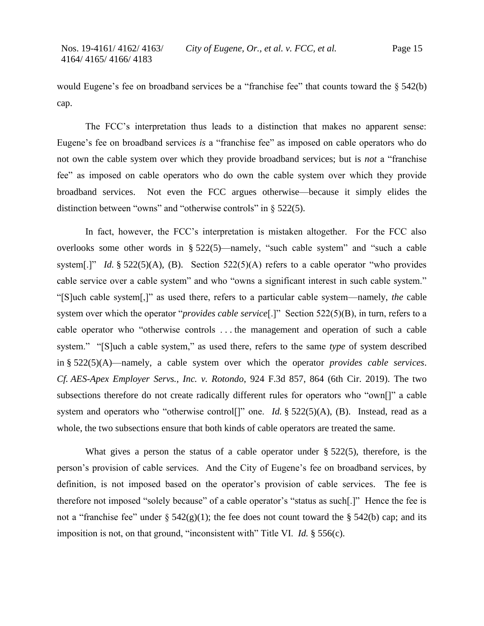would Eugene's fee on broadband services be a "franchise fee" that counts toward the § 542(b) cap.

The FCC's interpretation thus leads to a distinction that makes no apparent sense: Eugene's fee on broadband services *is* a "franchise fee" as imposed on cable operators who do not own the cable system over which they provide broadband services; but is *not* a "franchise fee" as imposed on cable operators who do own the cable system over which they provide broadband services. Not even the FCC argues otherwise—because it simply elides the distinction between "owns" and "otherwise controls" in § 522(5).

In fact, however, the FCC's interpretation is mistaken altogether. For the FCC also overlooks some other words in § 522(5)—namely, "such cable system" and "such a cable system[.]" *Id.*  $\S 522(5)(A)$ , (B). Section  $522(5)(A)$  refers to a cable operator "who provides cable service over a cable system" and who "owns a significant interest in such cable system." "[S]uch cable system[,]" as used there, refers to a particular cable system—namely, *the* cable system over which the operator "*provides cable service*[.]" Section 522(5)(B), in turn, refers to a cable operator who "otherwise controls . . . the management and operation of such a cable system." "[S]uch a cable system," as used there, refers to the same *type* of system described in § 522(5)(A)—namely, a cable system over which the operator *provides cable services*. *Cf. AES-Apex Employer Servs., Inc. v. Rotondo*, 924 F.3d 857, 864 (6th Cir. 2019). The two subsections therefore do not create radically different rules for operators who "own[]" a cable system and operators who "otherwise control<sup>[]"</sup> one. *Id.* § 522(5)(A), (B). Instead, read as a whole, the two subsections ensure that both kinds of cable operators are treated the same.

What gives a person the status of a cable operator under § 522(5), therefore, is the person's provision of cable services. And the City of Eugene's fee on broadband services, by definition, is not imposed based on the operator's provision of cable services. The fee is therefore not imposed "solely because" of a cable operator's "status as such[.]" Hence the fee is not a "franchise fee" under  $\S 542(g)(1)$ ; the fee does not count toward the  $\S 542(b)$  cap; and its imposition is not, on that ground, "inconsistent with" Title VI. *Id.* § 556(c).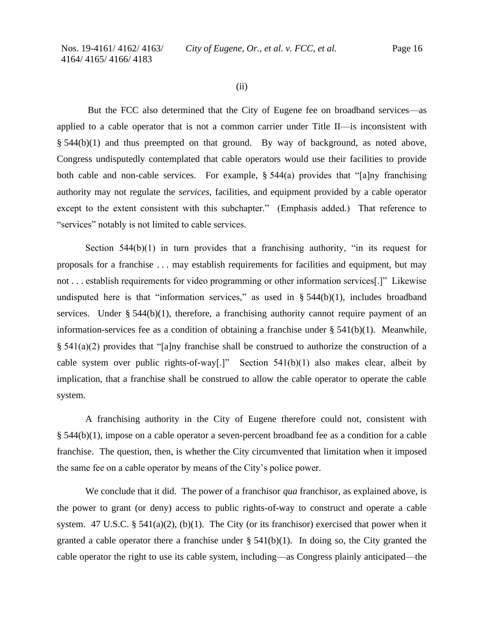(ii)

But the FCC also determined that the City of Eugene fee on broadband services—as applied to a cable operator that is not a common carrier under Title II—is inconsistent with § 544(b)(1) and thus preempted on that ground. By way of background, as noted above, Congress undisputedly contemplated that cable operators would use their facilities to provide both cable and non-cable services. For example, § 544(a) provides that "[a]ny franchising authority may not regulate the *services*, facilities, and equipment provided by a cable operator except to the extent consistent with this subchapter." (Emphasis added.) That reference to "services" notably is not limited to cable services.

Section  $544(b)(1)$  in turn provides that a franchising authority, "in its request for proposals for a franchise . . . may establish requirements for facilities and equipment, but may not . . . establish requirements for video programming or other information services[.]" Likewise undisputed here is that "information services," as used in  $\S$  544(b)(1), includes broadband services. Under  $\S$  544(b)(1), therefore, a franchising authority cannot require payment of an information-services fee as a condition of obtaining a franchise under  $\S 541(b)(1)$ . Meanwhile, § 541(a)(2) provides that "[a]ny franchise shall be construed to authorize the construction of a cable system over public rights-of-way[.]" Section  $541(b)(1)$  also makes clear, albeit by implication, that a franchise shall be construed to allow the cable operator to operate the cable system.

A franchising authority in the City of Eugene therefore could not, consistent with § 544(b)(1), impose on a cable operator a seven-percent broadband fee as a condition for a cable franchise. The question, then, is whether the City circumvented that limitation when it imposed the same fee on a cable operator by means of the City's police power.

We conclude that it did. The power of a franchisor *qua* franchisor, as explained above, is the power to grant (or deny) access to public rights-of-way to construct and operate a cable system. 47 U.S.C. § 541(a)(2), (b)(1). The City (or its franchisor) exercised that power when it granted a cable operator there a franchise under  $\S$  541(b)(1). In doing so, the City granted the cable operator the right to use its cable system, including—as Congress plainly anticipated—the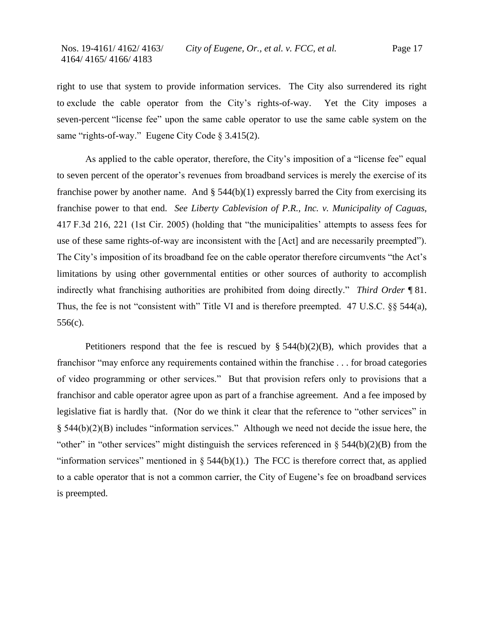right to use that system to provide information services. The City also surrendered its right to exclude the cable operator from the City's rights-of-way. Yet the City imposes a seven-percent "license fee" upon the same cable operator to use the same cable system on the same "rights-of-way." Eugene City Code § 3.415(2).

As applied to the cable operator, therefore, the City's imposition of a "license fee" equal to seven percent of the operator's revenues from broadband services is merely the exercise of its franchise power by another name. And  $\S$  544(b)(1) expressly barred the City from exercising its franchise power to that end. *See Liberty Cablevision of P.R., Inc. v. Municipality of Caguas*, 417 F.3d 216, 221 (1st Cir. 2005) (holding that "the municipalities' attempts to assess fees for use of these same rights-of-way are inconsistent with the [Act] and are necessarily preempted"). The City's imposition of its broadband fee on the cable operator therefore circumvents "the Act's limitations by using other governmental entities or other sources of authority to accomplish indirectly what franchising authorities are prohibited from doing directly." *Third Order* ¶ 81. Thus, the fee is not "consistent with" Title VI and is therefore preempted. 47 U.S.C. §§ 544(a), 556(c).

Petitioners respond that the fee is rescued by  $\S$  544(b)(2)(B), which provides that a franchisor "may enforce any requirements contained within the franchise . . . for broad categories of video programming or other services." But that provision refers only to provisions that a franchisor and cable operator agree upon as part of a franchise agreement. And a fee imposed by legislative fiat is hardly that. (Nor do we think it clear that the reference to "other services" in § 544(b)(2)(B) includes "information services." Although we need not decide the issue here, the "other" in "other services" might distinguish the services referenced in  $\S$  544(b)(2)(B) from the "information services" mentioned in  $\S$  544(b)(1).) The FCC is therefore correct that, as applied to a cable operator that is not a common carrier, the City of Eugene's fee on broadband services is preempted.